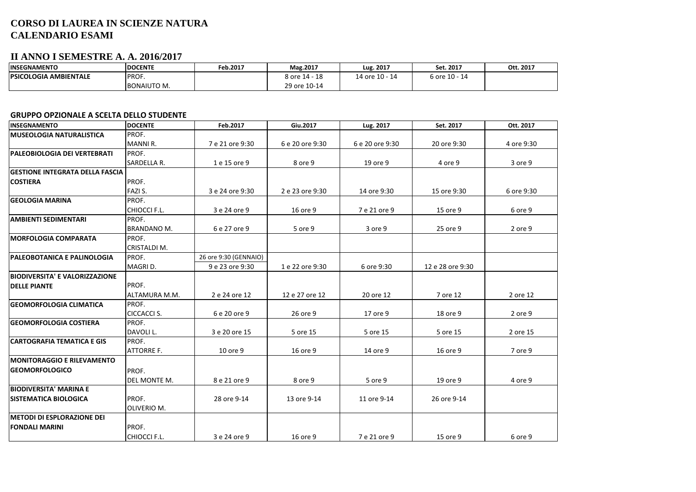## **CORSO DI LAUREA IN SCIENZE NATURA CALENDARIO ESAMI**

## **II ANNO I SEMESTRE A. A. 2016/2017**

| <b>INSEGNAMENTO</b>           | <b>DOCENTE</b> | Feb.2017 | Mag.2017      | Lug. 2017      | Set. 2017         | Ott. 2017 |
|-------------------------------|----------------|----------|---------------|----------------|-------------------|-----------|
| <b>IPSICOLOGIA AMBIENTALE</b> | PROF.          |          | 8 ore 14 - 18 | 14 ore 10 - 14 | 6 ore 10 -<br>-14 |           |
|                               | BONAIUTO M.    |          | 29 ore 10-14  |                |                   |           |

## **GRUPPO OPZIONALE A SCELTA DELLO STUDENTE**

| <b>INSEGNAMENTO</b>                    | <b>DOCENTE</b>      | Feb.2017              | Giu.2017        | Lug. 2017       | Set. 2017        | Ott. 2017  |
|----------------------------------------|---------------------|-----------------------|-----------------|-----------------|------------------|------------|
| <b>MUSEOLOGIA NATURALISTICA</b>        | PROF.               |                       |                 |                 |                  |            |
|                                        | MANNI R.            | 7 e 21 ore 9:30       | 6 e 20 ore 9:30 | 6 e 20 ore 9:30 | 20 ore 9:30      | 4 ore 9:30 |
| <b>PALEOBIOLOGIA DEI VERTEBRATI</b>    | PROF.               |                       |                 |                 |                  |            |
|                                        | SARDELLA R.         | 1 e 15 ore 9          | 8 ore 9         | 19 ore 9        | 4 ore 9          | 3 ore 9    |
| <b>GESTIONE INTEGRATA DELLA FASCIA</b> |                     |                       |                 |                 |                  |            |
| <b>COSTIERA</b>                        | PROF.               |                       |                 |                 |                  |            |
|                                        | FAZI S.             | 3 e 24 ore 9:30       | 2 e 23 ore 9:30 | 14 ore 9:30     | 15 ore 9:30      | 6 ore 9:30 |
| <b>GEOLOGIA MARINA</b>                 | PROF.               |                       |                 |                 |                  |            |
|                                        | CHIOCCI F.L.        | 3 e 24 ore 9          | 16 ore 9        | 7 e 21 ore 9    | 15 ore 9         | 6 ore 9    |
| <b>AMBIENTI SEDIMENTARI</b>            | PROF.               |                       |                 |                 |                  |            |
|                                        | <b>BRANDANO M.</b>  | 6 e 27 ore 9          | 5 ore 9         | 3 ore 9         | 25 ore 9         | 2 ore 9    |
| <b>MORFOLOGIA COMPARATA</b>            | PROF.               |                       |                 |                 |                  |            |
|                                        | CRISTALDI M.        |                       |                 |                 |                  |            |
| <b>PALEOBOTANICA E PALINOLOGIA</b>     | PROF.               | 26 ore 9:30 (GENNAIO) |                 |                 |                  |            |
|                                        | MAGRI D.            | 9 e 23 ore 9:30       | 1 e 22 ore 9:30 | 6 ore 9:30      | 12 e 28 ore 9:30 |            |
| <b>BIODIVERSITA' E VALORIZZAZIONE</b>  |                     |                       |                 |                 |                  |            |
| <b>DELLE PIANTE</b>                    | PROF.               |                       |                 |                 |                  |            |
|                                        | ALTAMURA M.M.       | 2 e 24 ore 12         | 12 e 27 ore 12  | 20 ore 12       | 7 ore 12         | 2 ore 12   |
| <b>GEOMORFOLOGIA CLIMATICA</b>         | PROF.               |                       |                 |                 |                  |            |
|                                        | <b>CICCACCI S.</b>  | 6 e 20 ore 9          | 26 ore 9        | 17 ore 9        | 18 ore 9         | 2 ore 9    |
| <b>GEOMORFOLOGIA COSTIERA</b>          | PROF.               |                       |                 |                 |                  |            |
|                                        | DAVOLI L.           | 3 e 20 ore 15         | 5 ore 15        | 5 ore 15        | 5 ore 15         | 2 ore 15   |
| <b>CARTOGRAFIA TEMATICA E GIS</b>      | PROF.               |                       |                 |                 |                  |            |
|                                        | <b>ATTORRE F.</b>   | 10 ore 9              | 16 ore 9        | 14 ore 9        | 16 ore 9         | 7 ore 9    |
| <b>IMONITORAGGIO E RILEVAMENTO</b>     |                     |                       |                 |                 |                  |            |
| <b>GEOMORFOLOGICO</b>                  | PROF.               |                       |                 |                 |                  |            |
|                                        | <b>DEL MONTE M.</b> | 8 e 21 ore 9          | 8 ore 9         | 5 ore 9         | 19 ore 9         | 4 ore 9    |
| <b>BIODIVERSITA' MARINA E</b>          |                     |                       |                 |                 |                  |            |
| <b>SISTEMATICA BIOLOGICA</b>           | PROF.               | 28 ore 9-14           | 13 ore 9-14     | 11 ore 9-14     | 26 ore 9-14      |            |
|                                        | OLIVERIO M.         |                       |                 |                 |                  |            |
| <b>METODI DI ESPLORAZIONE DEI</b>      |                     |                       |                 |                 |                  |            |
| <b>FONDALI MARINI</b>                  | PROF.               |                       |                 |                 |                  |            |
|                                        | CHIOCCI F.L.        | 3 e 24 ore 9          | 16 ore 9        | 7 e 21 ore 9    | 15 ore 9         | 6 ore 9    |